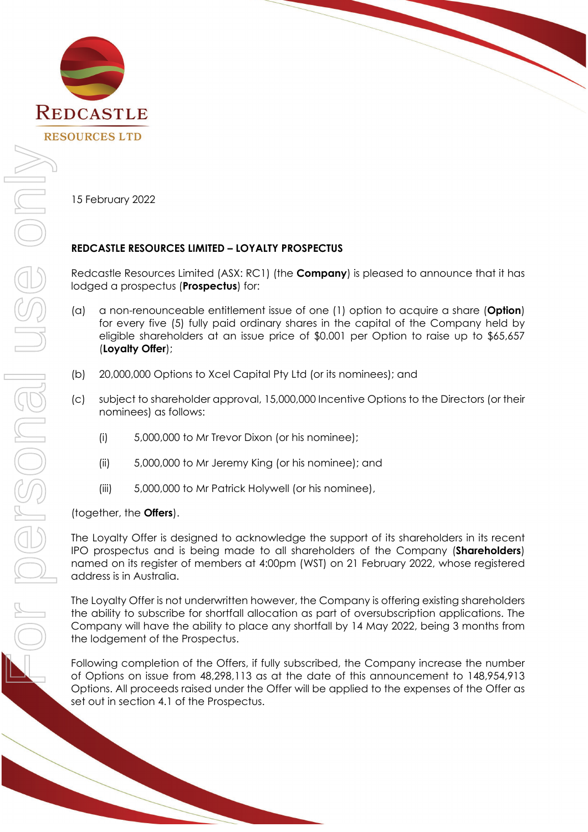

15 February 2022

## **REDCASTLE RESOURCES LIMITED – LOYALTY PROSPECTUS**

Redcastle Resources Limited (ASX: RC1) (the **Company**) is pleased to announce that it has lodged a prospectus (**Prospectus**) for:

- (a) a non-renounceable entitlement issue of one (1) option to acquire a share (**Option**) for every five (5) fully paid ordinary shares in the capital of the Company held by eligible shareholders at an issue price of \$0.001 per Option to raise up to \$65,657 (**Loyalty Offer**);
- (b) 20,000,000 Options to Xcel Capital Pty Ltd (or its nominees); and
- (c) subject to shareholder approval, 15,000,000 Incentive Options to the Directors (or their nominees) as follows:
	- (i) 5,000,000 to Mr Trevor Dixon (or his nominee);
	- (ii) 5,000,000 to Mr Jeremy King (or his nominee); and
	- (iii) 5,000,000 to Mr Patrick Holywell (or his nominee),

(together, the **Offers**).

The Loyalty Offer is designed to acknowledge the support of its shareholders in its recent IPO prospectus and is being made to all shareholders of the Company (**Shareholders**) named on its register of members at 4:00pm (WST) on 21 February 2022, whose registered address is in Australia.

The Loyalty Offer is not underwritten however, the Company is offering existing shareholders the ability to subscribe for shortfall allocation as part of oversubscription applications. The Company will have the ability to place any shortfall by 14 May 2022, being 3 months from the lodgement of the Prospectus.

Following completion of the Offers, if fully subscribed, the Company increase the number of Options on issue from 48,298,113 as at the date of this announcement to 148,954,913 Options. All proceeds raised under the Offer will be applied to the expenses of the Offer as set out in section 4.1 of the Prospectus.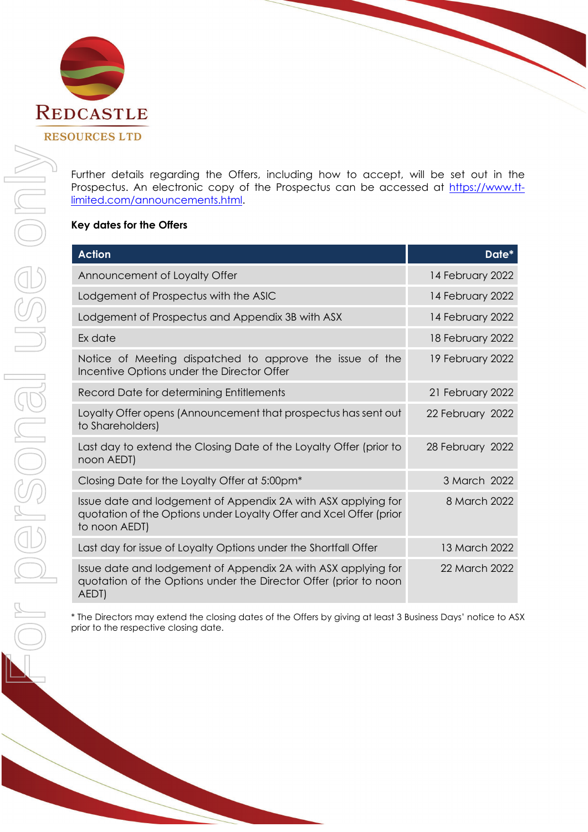

Further details regarding the Offers, including how to accept, will be set out in the Prospectus. An electronic copy of the Prospectus can be accessed at [https://www.tt](https://www.tt-limited.com/announcements.html)[limited.com/announcements.html.](https://www.tt-limited.com/announcements.html)

## **Key dates for the Offers**

| <b>Action</b>                                                                                                                                        | Date*            |
|------------------------------------------------------------------------------------------------------------------------------------------------------|------------------|
| Announcement of Loyalty Offer                                                                                                                        | 14 February 2022 |
| Lodgement of Prospectus with the ASIC                                                                                                                | 14 February 2022 |
| Lodgement of Prospectus and Appendix 3B with ASX                                                                                                     | 14 February 2022 |
| Ex date                                                                                                                                              | 18 February 2022 |
| Notice of Meeting dispatched to approve the issue of the<br>Incentive Options under the Director Offer                                               | 19 February 2022 |
| Record Date for determining Entitlements                                                                                                             | 21 February 2022 |
| Loyalty Offer opens (Announcement that prospectus has sent out<br>to Shareholders)                                                                   | 22 February 2022 |
| Last day to extend the Closing Date of the Loyalty Offer (prior to<br>noon AEDT)                                                                     | 28 February 2022 |
| Closing Date for the Loyalty Offer at 5:00pm <sup>*</sup>                                                                                            | 3 March 2022     |
| Issue date and lodgement of Appendix 2A with ASX applying for<br>quotation of the Options under Loyalty Offer and Xcel Offer (prior<br>to noon AEDT) | 8 March 2022     |
| Last day for issue of Loyalty Options under the Shortfall Offer                                                                                      | 13 March 2022    |
| Issue date and lodgement of Appendix 2A with ASX applying for<br>quotation of the Options under the Director Offer (prior to noon<br>AEDT)           | 22 March 2022    |

\* The Directors may extend the closing dates of the Offers by giving at least 3 Business Days' notice to ASX prior to the respective closing date.